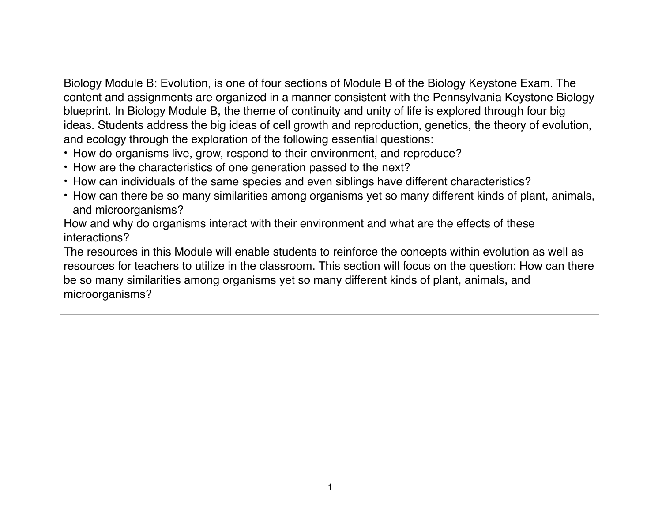Biology Module B: Evolution, is one of four sections of Module B of the Biology Keystone Exam. The content and assignments are organized in a manner consistent with the Pennsylvania Keystone Biology blueprint. In Biology Module B, the theme of continuity and unity of life is explored through four big ideas. Students address the big ideas of cell growth and reproduction, genetics, the theory of evolution, and ecology through the exploration of the following essential questions:

- How do organisms live, grow, respond to their environment, and reproduce?
- How are the characteristics of one generation passed to the next?
- How can individuals of the same species and even siblings have different characteristics?
- How can there be so many similarities among organisms yet so many different kinds of plant, animals, and microorganisms?

How and why do organisms interact with their environment and what are the effects of these interactions?

The resources in this Module will enable students to reinforce the concepts within evolution as well as resources for teachers to utilize in the classroom. This section will focus on the question: How can there be so many similarities among organisms yet so many different kinds of plant, animals, and microorganisms?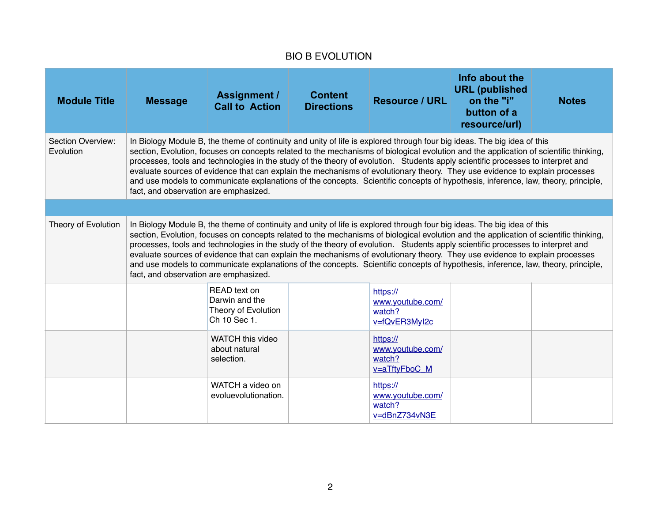## BIO B EVOLUTION

| <b>Module Title</b>            | <b>Message</b>                                                                                                                                                                                                                                                                                                                                                                                                                                                                                                                                                                                                                                                                                                   | <b>Assignment /</b><br><b>Call to Action</b>                          | <b>Content</b><br><b>Directions</b> | Resource / URL                                          | Info about the<br><b>URL</b> (published<br>on the "i"<br>button of a<br>resource/url) | <b>Notes</b> |  |  |
|--------------------------------|------------------------------------------------------------------------------------------------------------------------------------------------------------------------------------------------------------------------------------------------------------------------------------------------------------------------------------------------------------------------------------------------------------------------------------------------------------------------------------------------------------------------------------------------------------------------------------------------------------------------------------------------------------------------------------------------------------------|-----------------------------------------------------------------------|-------------------------------------|---------------------------------------------------------|---------------------------------------------------------------------------------------|--------------|--|--|
| Section Overview:<br>Evolution | In Biology Module B, the theme of continuity and unity of life is explored through four big ideas. The big idea of this<br>section, Evolution, focuses on concepts related to the mechanisms of biological evolution and the application of scientific thinking,<br>processes, tools and technologies in the study of the theory of evolution. Students apply scientific processes to interpret and<br>evaluate sources of evidence that can explain the mechanisms of evolutionary theory. They use evidence to explain processes<br>and use models to communicate explanations of the concepts. Scientific concepts of hypothesis, inference, law, theory, principle,<br>fact, and observation are emphasized. |                                                                       |                                     |                                                         |                                                                                       |              |  |  |
|                                |                                                                                                                                                                                                                                                                                                                                                                                                                                                                                                                                                                                                                                                                                                                  |                                                                       |                                     |                                                         |                                                                                       |              |  |  |
| Theory of Evolution            | In Biology Module B, the theme of continuity and unity of life is explored through four big ideas. The big idea of this<br>section, Evolution, focuses on concepts related to the mechanisms of biological evolution and the application of scientific thinking,<br>processes, tools and technologies in the study of the theory of evolution. Students apply scientific processes to interpret and<br>evaluate sources of evidence that can explain the mechanisms of evolutionary theory. They use evidence to explain processes<br>and use models to communicate explanations of the concepts. Scientific concepts of hypothesis, inference, law, theory, principle,<br>fact, and observation are emphasized. |                                                                       |                                     |                                                         |                                                                                       |              |  |  |
|                                |                                                                                                                                                                                                                                                                                                                                                                                                                                                                                                                                                                                                                                                                                                                  | READ text on<br>Darwin and the<br>Theory of Evolution<br>Ch 10 Sec 1. |                                     | https://<br>www.youtube.com/<br>watch?<br>v=fQvER3Myl2c |                                                                                       |              |  |  |
|                                |                                                                                                                                                                                                                                                                                                                                                                                                                                                                                                                                                                                                                                                                                                                  | <b>WATCH this video</b><br>about natural<br>selection.                |                                     | https://<br>www.youtube.com/<br>watch?<br>v=aTftyFboC_M |                                                                                       |              |  |  |
|                                |                                                                                                                                                                                                                                                                                                                                                                                                                                                                                                                                                                                                                                                                                                                  | WATCH a video on<br>evoluevolutionation.                              |                                     | https://<br>www.youtube.com/<br>watch?<br>v=dBnZ734vN3E |                                                                                       |              |  |  |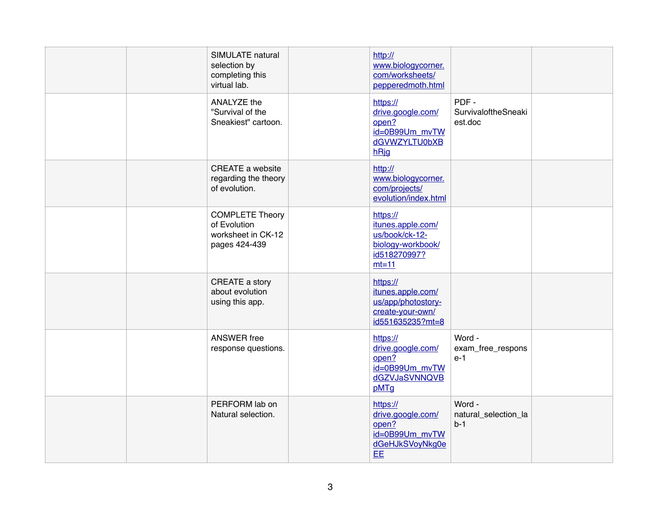|  | SIMULATE natural<br>selection by<br>completing this<br>virtual lab.           | http://<br>www.biologycorner.<br>com/worksheets/<br>pepperedmoth.html                           |                                         |  |
|--|-------------------------------------------------------------------------------|-------------------------------------------------------------------------------------------------|-----------------------------------------|--|
|  | ANALYZE the<br>"Survival of the<br>Sneakiest" cartoon.                        | https://<br>drive.google.com/<br>open?<br>id=0B99Um_mvTW<br>dGVWZYLTU0bXB<br>hRig               | PDF-<br>SurvivaloftheSneaki<br>est.doc  |  |
|  | CREATE a website<br>regarding the theory<br>of evolution.                     | http://<br>www.biologycorner.<br>com/projects/<br>evolution/index.html                          |                                         |  |
|  | <b>COMPLETE Theory</b><br>of Evolution<br>worksheet in CK-12<br>pages 424-439 | https://<br>itunes.apple.com/<br>us/book/ck-12-<br>biology-workbook/<br>id518270997?<br>$mt=11$ |                                         |  |
|  | CREATE a story<br>about evolution<br>using this app.                          | https://<br>itunes.apple.com/<br>us/app/photostory-<br>create-your-own/<br>id551635235?mt=8     |                                         |  |
|  | <b>ANSWER</b> free<br>response questions.                                     | https://<br>drive.google.com/<br>open?<br>id=0B99Um_mvTW<br>dGZVJaSVNNQVB<br>pMTg               | Word -<br>exam_free_respons<br>$e-1$    |  |
|  | PERFORM lab on<br>Natural selection.                                          | https://<br>drive.google.com/<br>open?<br>id=0B99Um_mvTW<br>dGeHJkSVoyNkg0e<br>EE               | Word -<br>natural_selection_la<br>$b-1$ |  |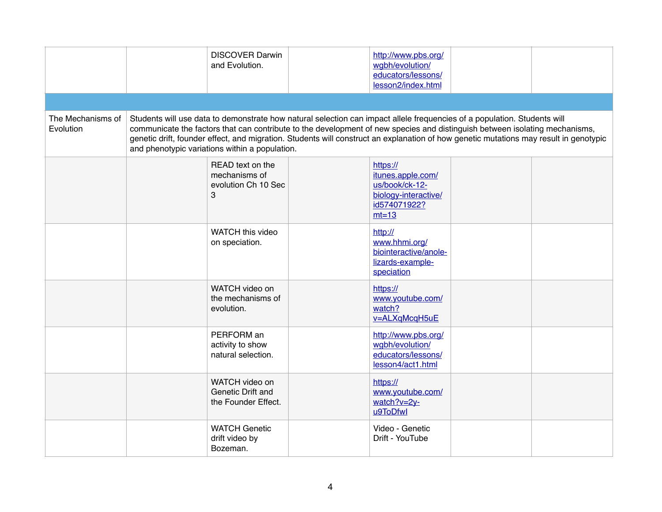|                                       | <b>DISCOVER Darwin</b><br>and Evolution.                      | http://www.pbs.org/<br>wgbh/evolution/<br>educators/lessons/<br>lesson2/index.html                                                                                                                                                                                                                                                                                                               |  |
|---------------------------------------|---------------------------------------------------------------|--------------------------------------------------------------------------------------------------------------------------------------------------------------------------------------------------------------------------------------------------------------------------------------------------------------------------------------------------------------------------------------------------|--|
|                                       |                                                               |                                                                                                                                                                                                                                                                                                                                                                                                  |  |
| The Mechanisms of<br><b>Evolution</b> | and phenotypic variations within a population.                | Students will use data to demonstrate how natural selection can impact allele frequencies of a population. Students will<br>communicate the factors that can contribute to the development of new species and distinguish between isolating mechanisms,<br>genetic drift, founder effect, and migration. Students will construct an explanation of how genetic mutations may result in genotypic |  |
|                                       | READ text on the<br>mechanisms of<br>evolution Ch 10 Sec<br>3 | https://<br>itunes.apple.com/<br>us/book/ck-12-<br>biology-interactive/<br>id574071922?<br>$mt=13$                                                                                                                                                                                                                                                                                               |  |
|                                       | WATCH this video<br>on speciation.                            | http://<br>www.hhmi.org/<br>biointeractive/anole-<br>lizards-example-<br>speciation                                                                                                                                                                                                                                                                                                              |  |
|                                       | WATCH video on<br>the mechanisms of<br>evolution.             | https://<br>www.youtube.com/<br>watch?<br>v=ALXqMcqH5uE                                                                                                                                                                                                                                                                                                                                          |  |
|                                       | PERFORM an<br>activity to show<br>natural selection.          | http://www.pbs.org/<br>wgbh/evolution/<br>educators/lessons/<br>lesson4/act1.html                                                                                                                                                                                                                                                                                                                |  |
|                                       | WATCH video on<br>Genetic Drift and<br>the Founder Effect.    | https://<br>www.youtube.com/<br>watch?v=2y-<br>u9ToDfwl                                                                                                                                                                                                                                                                                                                                          |  |
|                                       | <b>WATCH Genetic</b><br>drift video by<br>Bozeman.            | Video - Genetic<br>Drift - YouTube                                                                                                                                                                                                                                                                                                                                                               |  |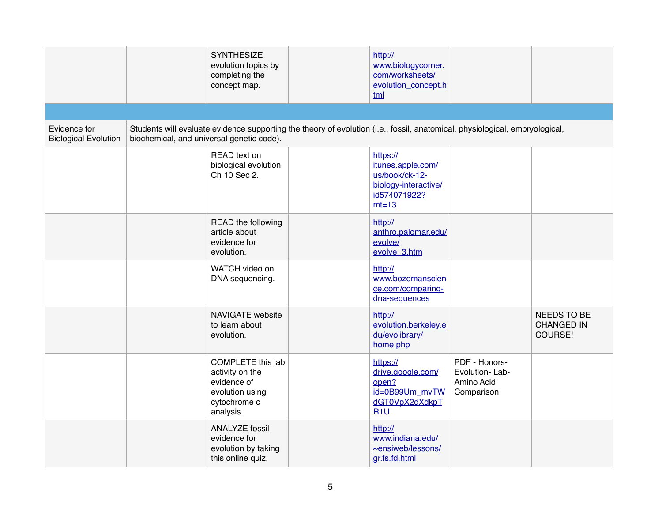|                                             |                                           | <b>SYNTHESIZE</b><br>evolution topics by<br>completing the<br>concept map.                                 | http://<br>www.biologycorner.<br>com/worksheets/<br>evolution_concept.h<br>tml                     |                                                                                                                             |                                             |
|---------------------------------------------|-------------------------------------------|------------------------------------------------------------------------------------------------------------|----------------------------------------------------------------------------------------------------|-----------------------------------------------------------------------------------------------------------------------------|---------------------------------------------|
|                                             |                                           |                                                                                                            |                                                                                                    |                                                                                                                             |                                             |
| Evidence for<br><b>Biological Evolution</b> | biochemical, and universal genetic code). |                                                                                                            |                                                                                                    | Students will evaluate evidence supporting the theory of evolution (i.e., fossil, anatomical, physiological, embryological, |                                             |
|                                             |                                           | READ text on<br>biological evolution<br>Ch 10 Sec 2.                                                       | https://<br>itunes.apple.com/<br>us/book/ck-12-<br>biology-interactive/<br>id574071922?<br>$mt=13$ |                                                                                                                             |                                             |
|                                             |                                           | READ the following<br>article about<br>evidence for<br>evolution.                                          | http://<br>anthro.palomar.edu/<br>evolve/<br>evolve_3.htm                                          |                                                                                                                             |                                             |
|                                             |                                           | WATCH video on<br>DNA sequencing.                                                                          | http://<br>www.bozemanscien<br>ce.com/comparing-<br>dna-sequences                                  |                                                                                                                             |                                             |
|                                             |                                           | <b>NAVIGATE</b> website<br>to learn about<br>evolution.                                                    | http://<br>evolution.berkeley.e<br>du/evolibrary/<br>home.php                                      |                                                                                                                             | NEEDS TO BE<br><b>CHANGED IN</b><br>COURSE! |
|                                             |                                           | <b>COMPLETE this lab</b><br>activity on the<br>evidence of<br>evolution using<br>cytochrome c<br>analysis. | https://<br>drive.google.com/<br>open?<br>id=0B99Um_mvTW<br>dGT0VpX2dXdkpT<br>R1U                  | PDF - Honors-<br>Evolution-Lab-<br>Amino Acid<br>Comparison                                                                 |                                             |
|                                             |                                           | <b>ANALYZE fossil</b><br>evidence for<br>evolution by taking<br>this online quiz.                          | http://<br>www.indiana.edu/<br>~ensiweb/lessons/<br>gr.fs.fd.html                                  |                                                                                                                             |                                             |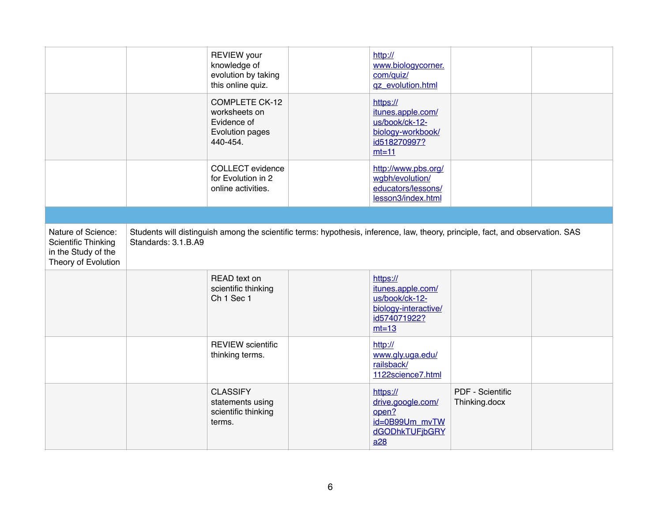|                                                                                                |                     | <b>REVIEW</b> your<br>knowledge of<br>evolution by taking<br>this online quiz. | http://<br>www.biologycorner.<br>com/quiz/<br>qz_evolution.html                                                                 |                                          |  |
|------------------------------------------------------------------------------------------------|---------------------|--------------------------------------------------------------------------------|---------------------------------------------------------------------------------------------------------------------------------|------------------------------------------|--|
|                                                                                                |                     | COMPLETE CK-12<br>worksheets on<br>Evidence of<br>Evolution pages<br>440-454.  | https://<br>itunes.apple.com/<br>us/book/ck-12-<br>biology-workbook/<br>id518270997?<br>$mt=11$                                 |                                          |  |
|                                                                                                |                     | <b>COLLECT</b> evidence<br>for Evolution in 2<br>online activities.            | http://www.pbs.org/<br>wgbh/evolution/<br>educators/lessons/<br>lesson3/index.html                                              |                                          |  |
|                                                                                                |                     |                                                                                |                                                                                                                                 |                                          |  |
| Nature of Science:<br><b>Scientific Thinking</b><br>in the Study of the<br>Theory of Evolution | Standards: 3.1.B.A9 |                                                                                | Students will distinguish among the scientific terms: hypothesis, inference, law, theory, principle, fact, and observation. SAS |                                          |  |
|                                                                                                |                     | READ text on<br>scientific thinking<br>Ch <sub>1</sub> Sec <sub>1</sub>        | https://<br>itunes.apple.com/<br>us/book/ck-12-<br>biology-interactive/<br>id574071922?<br>$mt=13$                              |                                          |  |
|                                                                                                |                     | <b>REVIEW</b> scientific<br>thinking terms.                                    | http://<br>www.gly.uga.edu/<br>railsback/<br>1122science7.html                                                                  |                                          |  |
|                                                                                                |                     | <b>CLASSIFY</b><br>statements using<br>scientific thinking<br>terms.           | https://<br>drive.google.com/<br>open?<br>id=0B99Um_mvTW<br>dGODhkTUFjbGRY<br>a28                                               | <b>PDF - Scientific</b><br>Thinking.docx |  |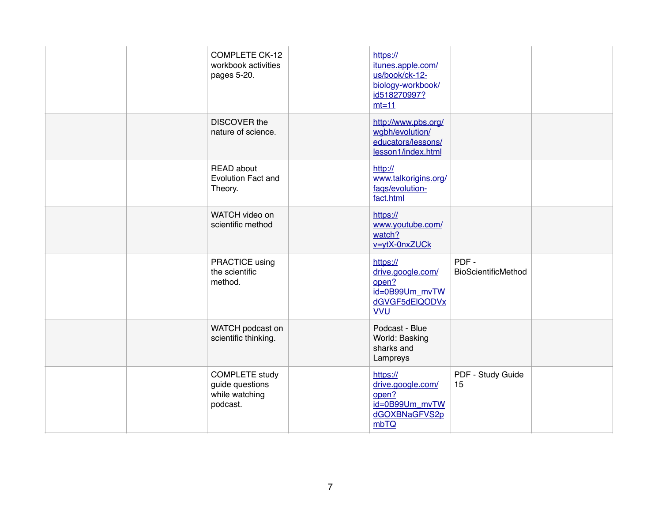|  | <b>COMPLETE CK-12</b><br>workbook activities<br>pages 5-20.            | https://<br>itunes.apple.com/<br>us/book/ck-12-<br>biology-workbook/<br>id518270997?<br>$mt=11$ |                             |  |
|--|------------------------------------------------------------------------|-------------------------------------------------------------------------------------------------|-----------------------------|--|
|  | <b>DISCOVER the</b><br>nature of science.                              | http://www.pbs.org/<br>wgbh/evolution/<br>educators/lessons/<br>lesson1/index.html              |                             |  |
|  | <b>READ</b> about<br><b>Evolution Fact and</b><br>Theory.              | http://<br>www.talkorigins.org/<br>faqs/evolution-<br>fact.html                                 |                             |  |
|  | WATCH video on<br>scientific method                                    | https://<br>www.youtube.com/<br>watch?<br>v=ytX-0nxZUCk                                         |                             |  |
|  | PRACTICE using<br>the scientific<br>method.                            | https://<br>drive.google.com/<br>open?<br>id=0B99Um mvTW<br>dGVGF5dElQODVx<br><b>VVU</b>        | PDF-<br>BioScientificMethod |  |
|  | WATCH podcast on<br>scientific thinking.                               | Podcast - Blue<br>World: Basking<br>sharks and<br>Lampreys                                      |                             |  |
|  | <b>COMPLETE study</b><br>guide questions<br>while watching<br>podcast. | https://<br>drive.google.com/<br>open?<br>id=0B99Um_mvTW<br>dGOXBNaGFVS2p<br>mbTQ               | PDF - Study Guide<br>15     |  |